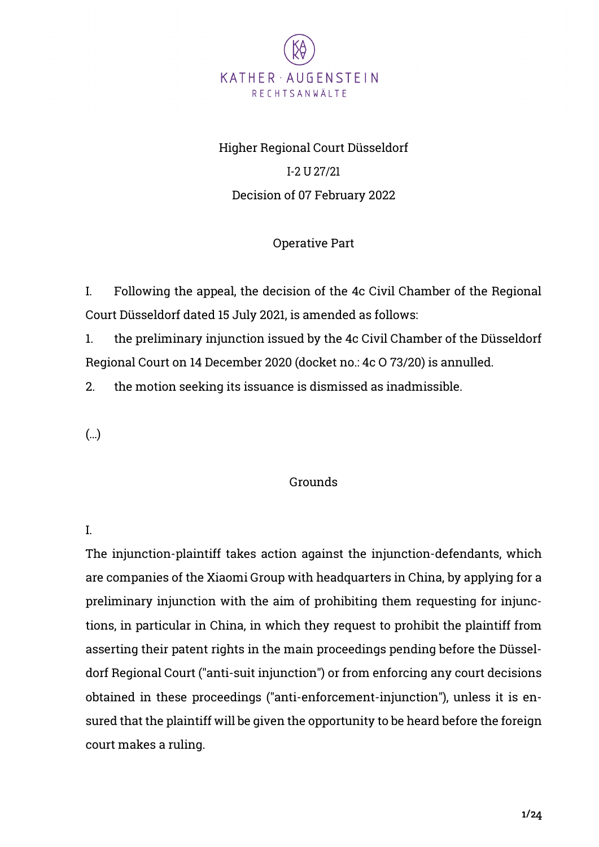

# Higher Regional Court Düsseldorf I-2 U 27/21 Decision of 07 February 2022

# Operative Part

I. Following the appeal, the decision of the 4c Civil Chamber of the Regional Court Düsseldorf dated 15 July 2021, is amended as follows:

1. the preliminary injunction issued by the 4c Civil Chamber of the Düsseldorf Regional Court on 14 December 2020 (docket no.: 4c O 73/20) is annulled.

2. the motion seeking its issuance is dismissed as inadmissible.

(…)

#### Grounds

I.

The injunction-plaintiff takes action against the injunction-defendants, which are companies of the Xiaomi Group with headquarters in China, by applying for a preliminary injunction with the aim of prohibiting them requesting for injunctions, in particular in China, in which they request to prohibit the plaintiff from asserting their patent rights in the main proceedings pending before the Düsseldorf Regional Court ("anti-suit injunction") or from enforcing any court decisions obtained in these proceedings ("anti-enforcement-injunction"), unless it is ensured that the plaintiff will be given the opportunity to be heard before the foreign court makes a ruling.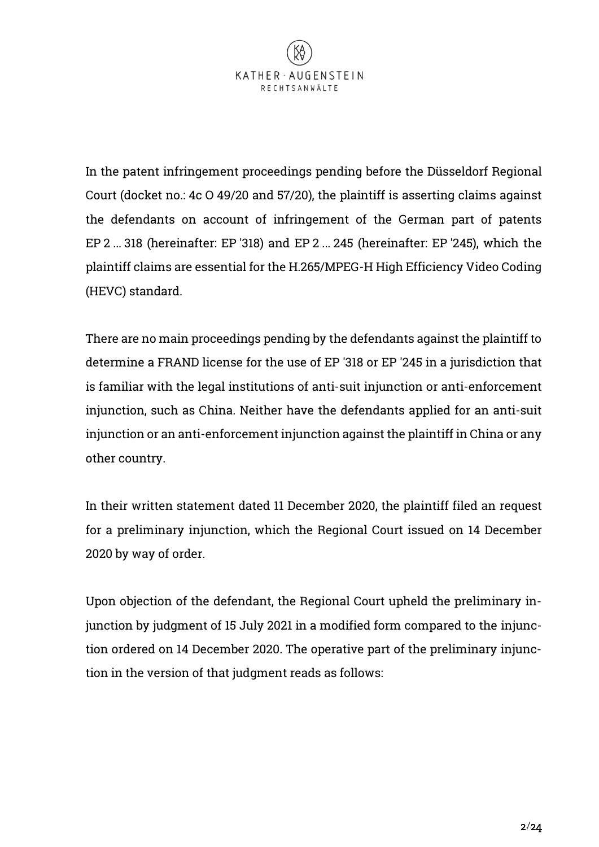

In the patent infringement proceedings pending before the Düsseldorf Regional Court (docket no.: 4c O 49/20 and 57/20), the plaintiff is asserting claims against the defendants on account of infringement of the German part of patents EP 2 ... 318 (hereinafter: EP '318) and EP 2 ... 245 (hereinafter: EP '245), which the plaintiff claims are essential for the H.265/MPEG-H High Efficiency Video Coding (HEVC) standard.

There are no main proceedings pending by the defendants against the plaintiff to determine a FRAND license for the use of EP '318 or EP '245 in a jurisdiction that is familiar with the legal institutions of anti-suit injunction or anti-enforcement injunction, such as China. Neither have the defendants applied for an anti-suit injunction or an anti-enforcement injunction against the plaintiff in China or any other country.

In their written statement dated 11 December 2020, the plaintiff filed an request for a preliminary injunction, which the Regional Court issued on 14 December 2020 by way of order.

Upon objection of the defendant, the Regional Court upheld the preliminary injunction by judgment of 15 July 2021 in a modified form compared to the injunction ordered on 14 December 2020. The operative part of the preliminary injunction in the version of that judgment reads as follows: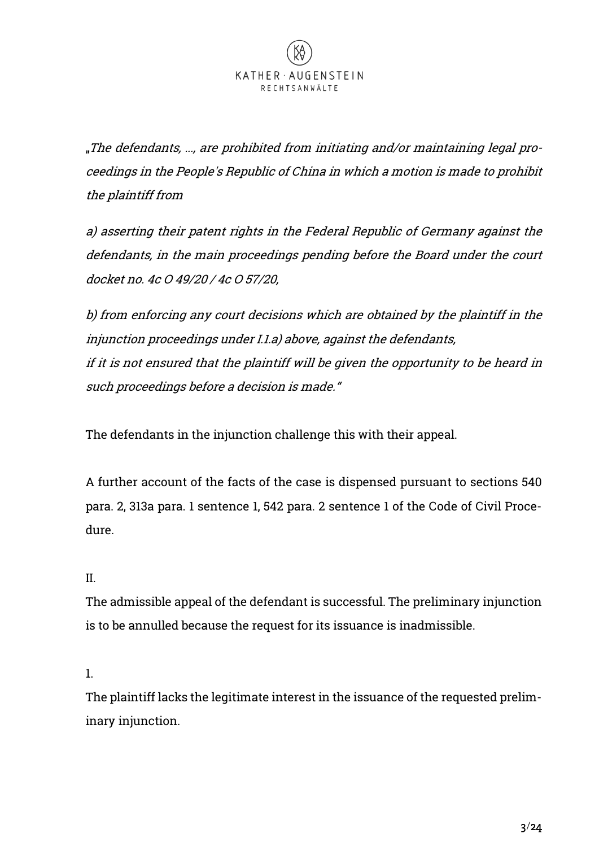"The defendants, ..., are prohibited from initiating and/or maintaining legal proceedings in the People's Republic of China in which a motion is made to prohibit the plaintiff from

a) asserting their patent rights in the Federal Republic of Germany against the defendants, in the main proceedings pending before the Board under the court docket no. 4c O 49/20 / 4c O 57/20,

b) from enforcing any court decisions which are obtained by the plaintiff in the injunction proceedings under I.1.a) above, against the defendants, if it is not ensured that the plaintiff will be given the opportunity to be heard in such proceedings before a decision is made."

The defendants in the injunction challenge this with their appeal.

A further account of the facts of the case is dispensed pursuant to sections 540 para. 2, 313a para. 1 sentence 1, 542 para. 2 sentence 1 of the Code of Civil Procedure.

# II.

The admissible appeal of the defendant is successful. The preliminary injunction is to be annulled because the request for its issuance is inadmissible.

# 1.

The plaintiff lacks the legitimate interest in the issuance of the requested preliminary injunction.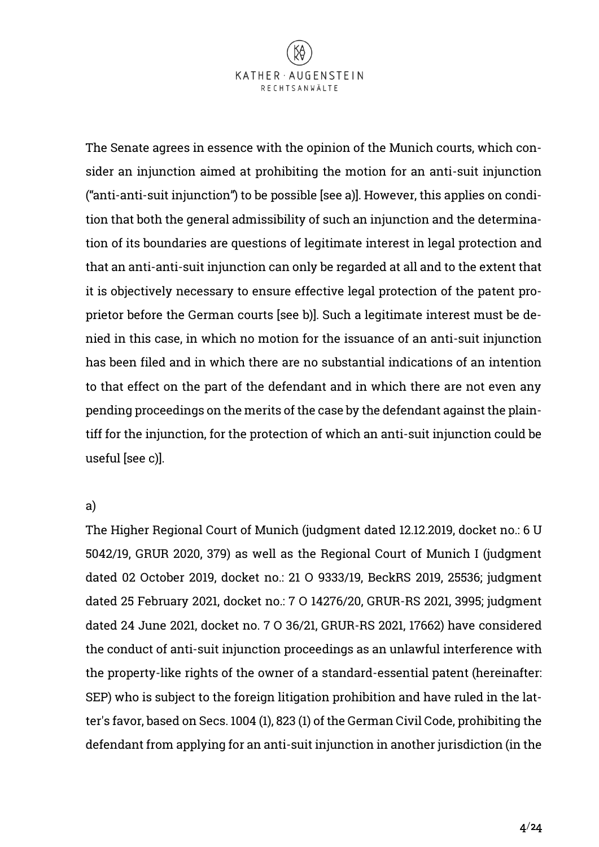

The Senate agrees in essence with the opinion of the Munich courts, which consider an injunction aimed at prohibiting the motion for an anti-suit injunction ("anti-anti-suit injunction") to be possible [see a)]. However, this applies on condition that both the general admissibility of such an injunction and the determination of its boundaries are questions of legitimate interest in legal protection and that an anti-anti-suit injunction can only be regarded at all and to the extent that it is objectively necessary to ensure effective legal protection of the patent proprietor before the German courts [see b)]. Such a legitimate interest must be denied in this case, in which no motion for the issuance of an anti-suit injunction has been filed and in which there are no substantial indications of an intention to that effect on the part of the defendant and in which there are not even any pending proceedings on the merits of the case by the defendant against the plaintiff for the injunction, for the protection of which an anti-suit injunction could be useful [see c)].

#### a)

The Higher Regional Court of Munich (judgment dated 12.12.2019, docket no.: 6 U 5042/19, GRUR 2020, 379) as well as the Regional Court of Munich I (judgment dated 02 October 2019, docket no.: 21 O 9333/19, BeckRS 2019, 25536; judgment dated 25 February 2021, docket no.: 7 O 14276/20, GRUR-RS 2021, 3995; judgment dated 24 June 2021, docket no. 7 O 36/21, GRUR-RS 2021, 17662) have considered the conduct of anti-suit injunction proceedings as an unlawful interference with the property-like rights of the owner of a standard-essential patent (hereinafter: SEP) who is subject to the foreign litigation prohibition and have ruled in the latter's favor, based on Secs. 1004 (1), 823 (1) of the German Civil Code, prohibiting the defendant from applying for an anti-suit injunction in another jurisdiction (in the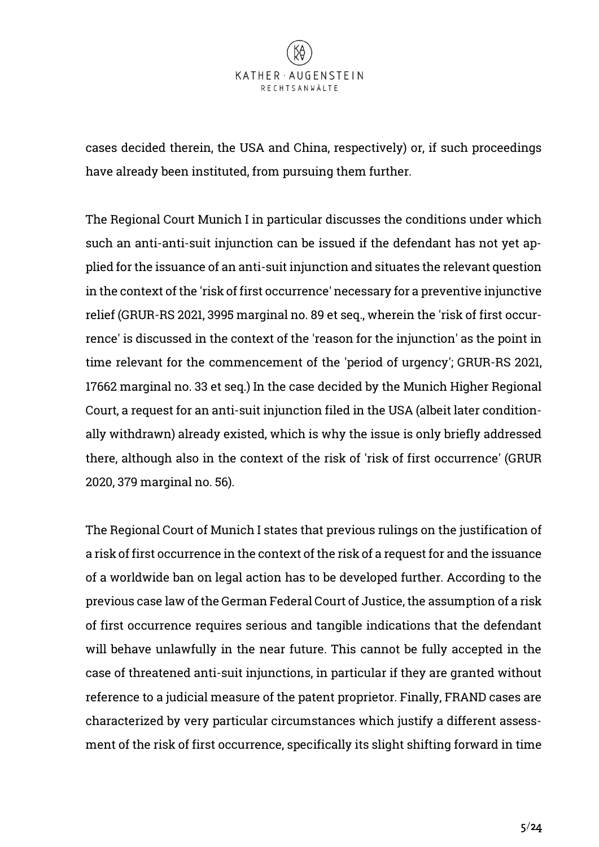cases decided therein, the USA and China, respectively) or, if such proceedings have already been instituted, from pursuing them further.

The Regional Court Munich I in particular discusses the conditions under which such an anti-anti-suit injunction can be issued if the defendant has not yet applied for the issuance of an anti-suit injunction and situates the relevant question in the context of the 'risk of first occurrence' necessary for a preventive injunctive relief (GRUR-RS 2021, 3995 marginal no. 89 et seq., wherein the 'risk of first occurrence' is discussed in the context of the 'reason for the injunction' as the point in time relevant for the commencement of the 'period of urgency'; GRUR-RS 2021, 17662 marginal no. 33 et seq.) In the case decided by the Munich Higher Regional Court, a request for an anti-suit injunction filed in the USA (albeit later conditionally withdrawn) already existed, which is why the issue is only briefly addressed there, although also in the context of the risk of 'risk of first occurrence' (GRUR 2020, 379 marginal no. 56).

The Regional Court of Munich I states that previous rulings on the justification of a risk of first occurrence in the context of the risk of a request for and the issuance of a worldwide ban on legal action has to be developed further. According to the previous case law of the German Federal Court of Justice, the assumption of a risk of first occurrence requires serious and tangible indications that the defendant will behave unlawfully in the near future. This cannot be fully accepted in the case of threatened anti-suit injunctions, in particular if they are granted without reference to a judicial measure of the patent proprietor. Finally, FRAND cases are characterized by very particular circumstances which justify a different assessment of the risk of first occurrence, specifically its slight shifting forward in time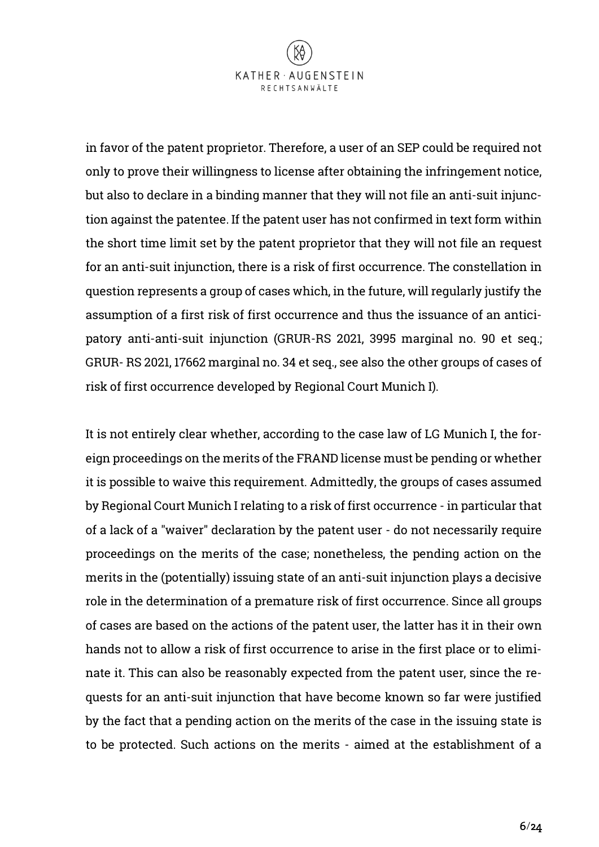

in favor of the patent proprietor. Therefore, a user of an SEP could be required not only to prove their willingness to license after obtaining the infringement notice, but also to declare in a binding manner that they will not file an anti-suit injunction against the patentee. If the patent user has not confirmed in text form within the short time limit set by the patent proprietor that they will not file an request for an anti-suit injunction, there is a risk of first occurrence. The constellation in question represents a group of cases which, in the future, will regularly justify the assumption of a first risk of first occurrence and thus the issuance of an anticipatory anti-anti-suit injunction (GRUR-RS 2021, 3995 marginal no. 90 et seq.; GRUR- RS 2021, 17662 marginal no. 34 et seq., see also the other groups of cases of risk of first occurrence developed by Regional Court Munich I).

It is not entirely clear whether, according to the case law of LG Munich I, the foreign proceedings on the merits of the FRAND license must be pending or whether it is possible to waive this requirement. Admittedly, the groups of cases assumed by Regional Court Munich I relating to a risk of first occurrence - in particular that of a lack of a "waiver" declaration by the patent user - do not necessarily require proceedings on the merits of the case; nonetheless, the pending action on the merits in the (potentially) issuing state of an anti-suit injunction plays a decisive role in the determination of a premature risk of first occurrence. Since all groups of cases are based on the actions of the patent user, the latter has it in their own hands not to allow a risk of first occurrence to arise in the first place or to eliminate it. This can also be reasonably expected from the patent user, since the requests for an anti-suit injunction that have become known so far were justified by the fact that a pending action on the merits of the case in the issuing state is to be protected. Such actions on the merits - aimed at the establishment of a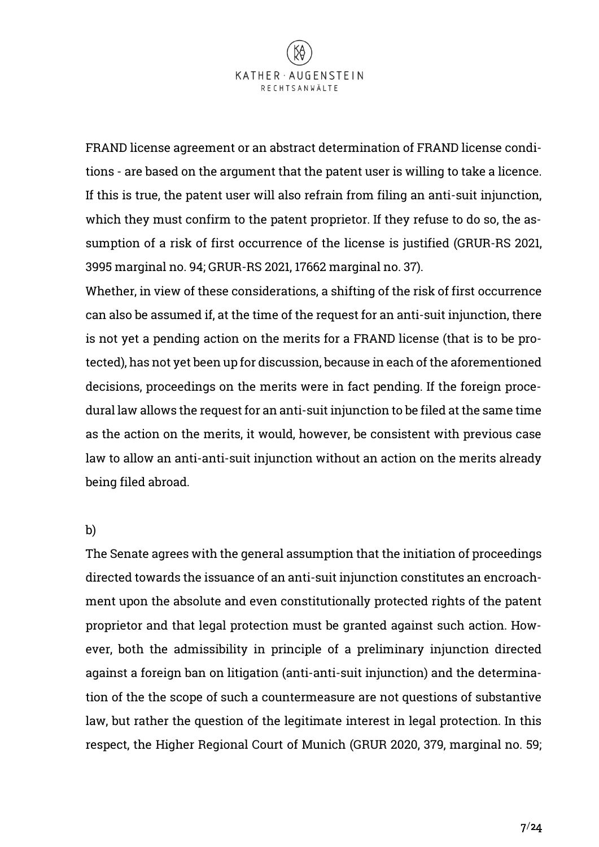

FRAND license agreement or an abstract determination of FRAND license conditions - are based on the argument that the patent user is willing to take a licence. If this is true, the patent user will also refrain from filing an anti-suit injunction, which they must confirm to the patent proprietor. If they refuse to do so, the assumption of a risk of first occurrence of the license is justified (GRUR-RS 2021, 3995 marginal no. 94; GRUR-RS 2021, 17662 marginal no. 37).

Whether, in view of these considerations, a shifting of the risk of first occurrence can also be assumed if, at the time of the request for an anti-suit injunction, there is not yet a pending action on the merits for a FRAND license (that is to be protected), has not yet been up for discussion, because in each of the aforementioned decisions, proceedings on the merits were in fact pending. If the foreign procedural law allows the request for an anti-suit injunction to be filed at the same time as the action on the merits, it would, however, be consistent with previous case law to allow an anti-anti-suit injunction without an action on the merits already being filed abroad.

#### b)

The Senate agrees with the general assumption that the initiation of proceedings directed towards the issuance of an anti-suit injunction constitutes an encroachment upon the absolute and even constitutionally protected rights of the patent proprietor and that legal protection must be granted against such action. However, both the admissibility in principle of a preliminary injunction directed against a foreign ban on litigation (anti-anti-suit injunction) and the determination of the the scope of such a countermeasure are not questions of substantive law, but rather the question of the legitimate interest in legal protection. In this respect, the Higher Regional Court of Munich (GRUR 2020, 379, marginal no. 59;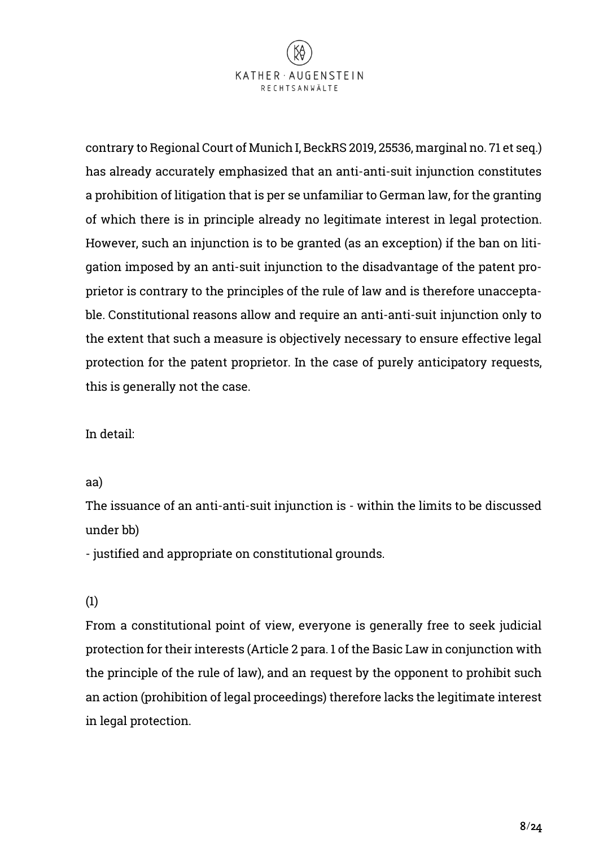

contrary to Regional Court of Munich I, BeckRS 2019, 25536, marginal no. 71 et seq.) has already accurately emphasized that an anti-anti-suit injunction constitutes a prohibition of litigation that is per se unfamiliar to German law, for the granting of which there is in principle already no legitimate interest in legal protection. However, such an injunction is to be granted (as an exception) if the ban on litigation imposed by an anti-suit injunction to the disadvantage of the patent proprietor is contrary to the principles of the rule of law and is therefore unacceptable. Constitutional reasons allow and require an anti-anti-suit injunction only to the extent that such a measure is objectively necessary to ensure effective legal protection for the patent proprietor. In the case of purely anticipatory requests, this is generally not the case.

In detail:

#### aa)

The issuance of an anti-anti-suit injunction is - within the limits to be discussed under bb)

- justified and appropriate on constitutional grounds.

# (1)

From a constitutional point of view, everyone is generally free to seek judicial protection for their interests (Article 2 para. 1 of the Basic Law in conjunction with the principle of the rule of law), and an request by the opponent to prohibit such an action (prohibition of legal proceedings) therefore lacks the legitimate interest in legal protection.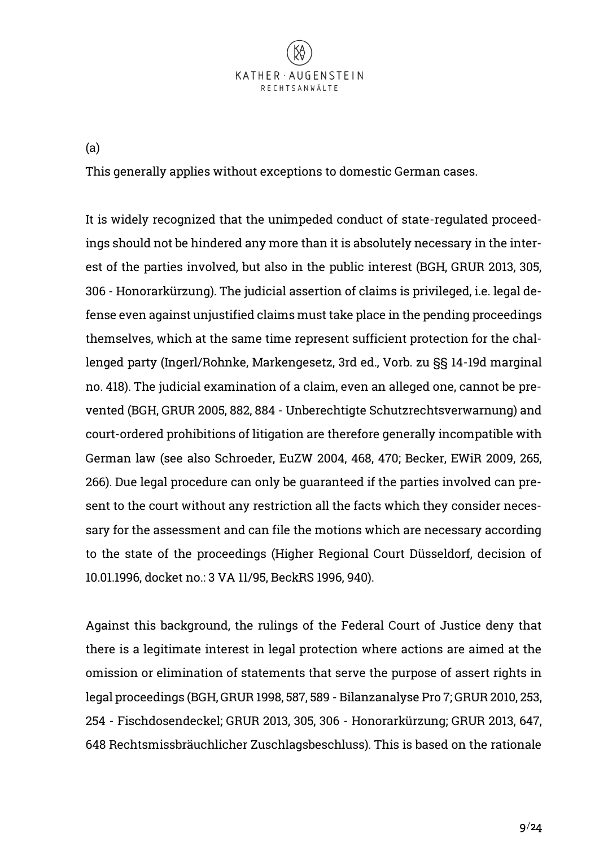

(a)

This generally applies without exceptions to domestic German cases.

It is widely recognized that the unimpeded conduct of state-regulated proceedings should not be hindered any more than it is absolutely necessary in the interest of the parties involved, but also in the public interest (BGH, GRUR 2013, 305, 306 - Honorarkürzung). The judicial assertion of claims is privileged, i.e. legal defense even against unjustified claims must take place in the pending proceedings themselves, which at the same time represent sufficient protection for the challenged party (Ingerl/Rohnke, Markengesetz, 3rd ed., Vorb. zu §§ 14-19d marginal no. 418). The judicial examination of a claim, even an alleged one, cannot be prevented (BGH, GRUR 2005, 882, 884 - Unberechtigte Schutzrechtsverwarnung) and court-ordered prohibitions of litigation are therefore generally incompatible with German law (see also Schroeder, EuZW 2004, 468, 470; Becker, EWiR 2009, 265, 266). Due legal procedure can only be guaranteed if the parties involved can present to the court without any restriction all the facts which they consider necessary for the assessment and can file the motions which are necessary according to the state of the proceedings (Higher Regional Court Düsseldorf, decision of 10.01.1996, docket no.: 3 VA 11/95, BeckRS 1996, 940).

Against this background, the rulings of the Federal Court of Justice deny that there is a legitimate interest in legal protection where actions are aimed at the omission or elimination of statements that serve the purpose of assert rights in legal proceedings (BGH, GRUR 1998, 587, 589 - Bilanzanalyse Pro 7; GRUR 2010, 253, 254 - Fischdosendeckel; GRUR 2013, 305, 306 - Honorarkürzung; GRUR 2013, 647, 648 Rechtsmissbräuchlicher Zuschlagsbeschluss). This is based on the rationale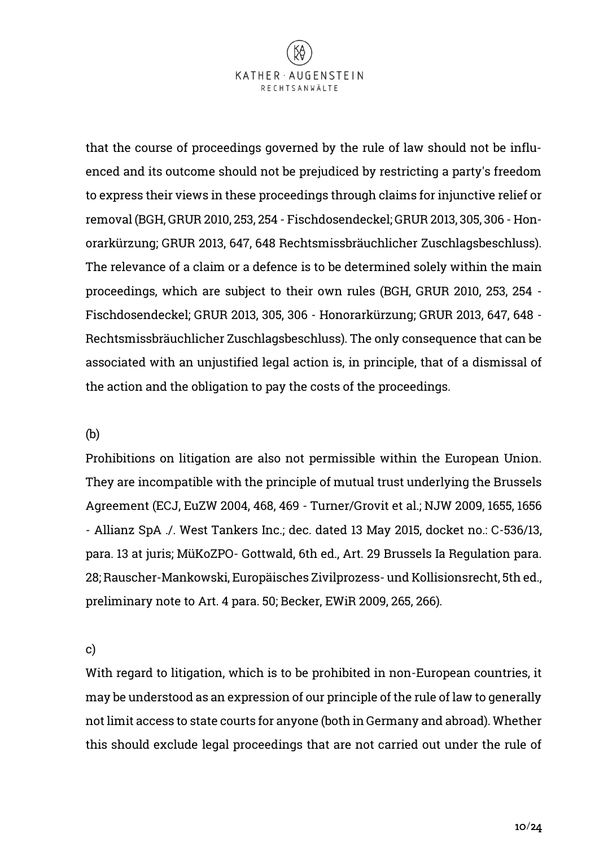

that the course of proceedings governed by the rule of law should not be influenced and its outcome should not be prejudiced by restricting a party's freedom to express their views in these proceedings through claims for injunctive relief or removal (BGH, GRUR 2010, 253, 254 - Fischdosendeckel; GRUR 2013, 305, 306 - Honorarkürzung; GRUR 2013, 647, 648 Rechtsmissbräuchlicher Zuschlagsbeschluss). The relevance of a claim or a defence is to be determined solely within the main proceedings, which are subject to their own rules (BGH, GRUR 2010, 253, 254 - Fischdosendeckel; GRUR 2013, 305, 306 - Honorarkürzung; GRUR 2013, 647, 648 - Rechtsmissbräuchlicher Zuschlagsbeschluss). The only consequence that can be associated with an unjustified legal action is, in principle, that of a dismissal of the action and the obligation to pay the costs of the proceedings.

#### (b)

Prohibitions on litigation are also not permissible within the European Union. They are incompatible with the principle of mutual trust underlying the Brussels Agreement (ECJ, EuZW 2004, 468, 469 - Turner/Grovit et al.; NJW 2009, 1655, 1656 - Allianz SpA ./. West Tankers Inc.; dec. dated 13 May 2015, docket no.: C-536/13, para. 13 at juris; MüKoZPO- Gottwald, 6th ed., Art. 29 Brussels Ia Regulation para. 28; Rauscher-Mankowski, Europäisches Zivilprozess- und Kollisionsrecht, 5th ed., preliminary note to Art. 4 para. 50; Becker, EWiR 2009, 265, 266).

c)

With regard to litigation, which is to be prohibited in non-European countries, it may be understood as an expression of our principle of the rule of law to generally not limit access to state courts for anyone (both in Germany and abroad). Whether this should exclude legal proceedings that are not carried out under the rule of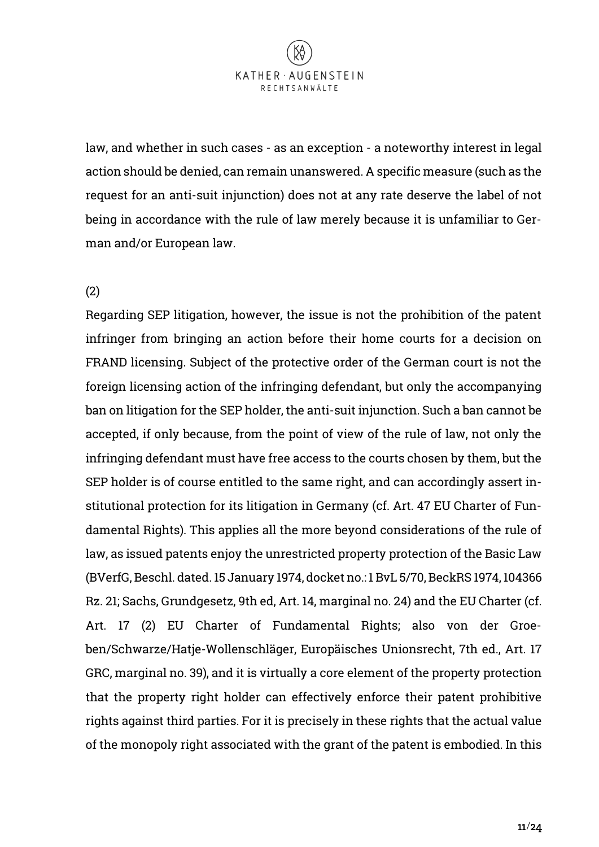

law, and whether in such cases - as an exception - a noteworthy interest in legal action should be denied, can remain unanswered. A specific measure (such as the request for an anti-suit injunction) does not at any rate deserve the label of not being in accordance with the rule of law merely because it is unfamiliar to German and/or European law.

#### (2)

Regarding SEP litigation, however, the issue is not the prohibition of the patent infringer from bringing an action before their home courts for a decision on FRAND licensing. Subject of the protective order of the German court is not the foreign licensing action of the infringing defendant, but only the accompanying ban on litigation for the SEP holder, the anti-suit injunction. Such a ban cannot be accepted, if only because, from the point of view of the rule of law, not only the infringing defendant must have free access to the courts chosen by them, but the SEP holder is of course entitled to the same right, and can accordingly assert institutional protection for its litigation in Germany (cf. Art. 47 EU Charter of Fundamental Rights). This applies all the more beyond considerations of the rule of law, as issued patents enjoy the unrestricted property protection of the Basic Law (BVerfG, Beschl. dated. 15 January 1974, docket no.: 1 BvL 5/70, BeckRS 1974, 104366 Rz. 21; Sachs, Grundgesetz, 9th ed, Art. 14, marginal no. 24) and the EU Charter (cf. Art. 17 (2) EU Charter of Fundamental Rights; also von der Groeben/Schwarze/Hatje-Wollenschläger, Europäisches Unionsrecht, 7th ed., Art. 17 GRC, marginal no. 39), and it is virtually a core element of the property protection that the property right holder can effectively enforce their patent prohibitive rights against third parties. For it is precisely in these rights that the actual value of the monopoly right associated with the grant of the patent is embodied. In this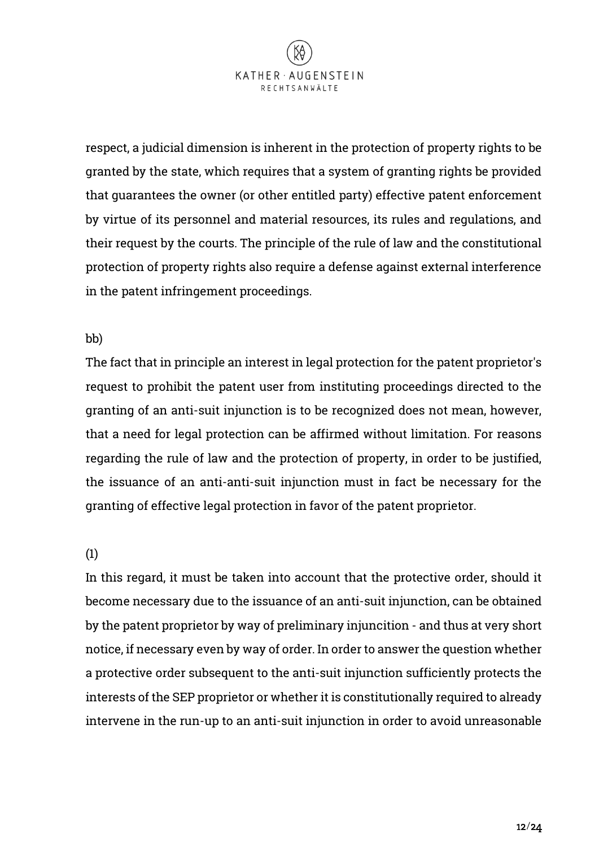

respect, a judicial dimension is inherent in the protection of property rights to be granted by the state, which requires that a system of granting rights be provided that guarantees the owner (or other entitled party) effective patent enforcement by virtue of its personnel and material resources, its rules and regulations, and their request by the courts. The principle of the rule of law and the constitutional protection of property rights also require a defense against external interference in the patent infringement proceedings.

#### bb)

The fact that in principle an interest in legal protection for the patent proprietor's request to prohibit the patent user from instituting proceedings directed to the granting of an anti-suit injunction is to be recognized does not mean, however, that a need for legal protection can be affirmed without limitation. For reasons regarding the rule of law and the protection of property, in order to be justified, the issuance of an anti-anti-suit injunction must in fact be necessary for the granting of effective legal protection in favor of the patent proprietor.

#### (1)

In this regard, it must be taken into account that the protective order, should it become necessary due to the issuance of an anti-suit injunction, can be obtained by the patent proprietor by way of preliminary injuncition - and thus at very short notice, if necessary even by way of order. In order to answer the question whether a protective order subsequent to the anti-suit injunction sufficiently protects the interests of the SEP proprietor or whether it is constitutionally required to already intervene in the run-up to an anti-suit injunction in order to avoid unreasonable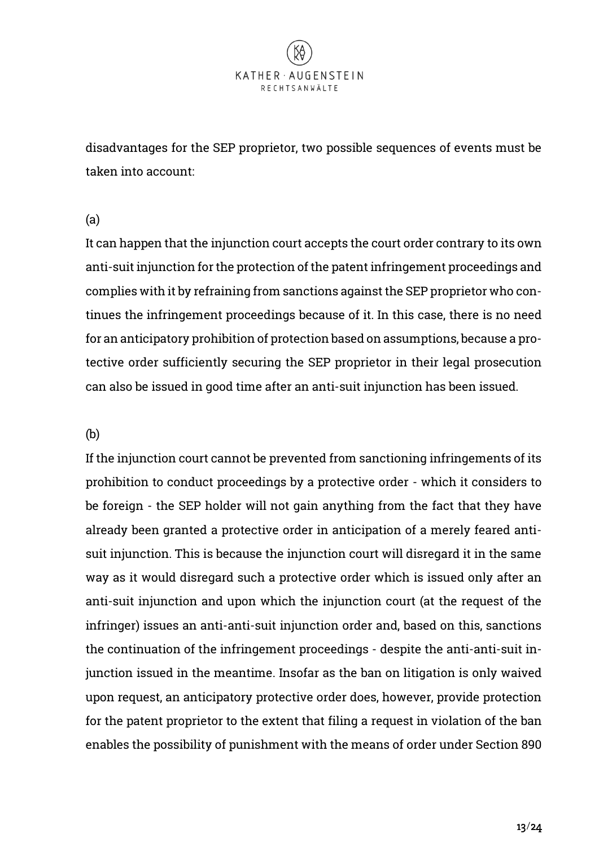disadvantages for the SEP proprietor, two possible sequences of events must be taken into account:

#### (a)

It can happen that the injunction court accepts the court order contrary to its own anti-suit injunction for the protection of the patent infringement proceedings and complies with it by refraining from sanctions against the SEP proprietor who continues the infringement proceedings because of it. In this case, there is no need for an anticipatory prohibition of protection based on assumptions, because a protective order sufficiently securing the SEP proprietor in their legal prosecution can also be issued in good time after an anti-suit injunction has been issued.

#### (b)

If the injunction court cannot be prevented from sanctioning infringements of its prohibition to conduct proceedings by a protective order - which it considers to be foreign - the SEP holder will not gain anything from the fact that they have already been granted a protective order in anticipation of a merely feared antisuit injunction. This is because the injunction court will disregard it in the same way as it would disregard such a protective order which is issued only after an anti-suit injunction and upon which the injunction court (at the request of the infringer) issues an anti-anti-suit injunction order and, based on this, sanctions the continuation of the infringement proceedings - despite the anti-anti-suit injunction issued in the meantime. Insofar as the ban on litigation is only waived upon request, an anticipatory protective order does, however, provide protection for the patent proprietor to the extent that filing a request in violation of the ban enables the possibility of punishment with the means of order under Section 890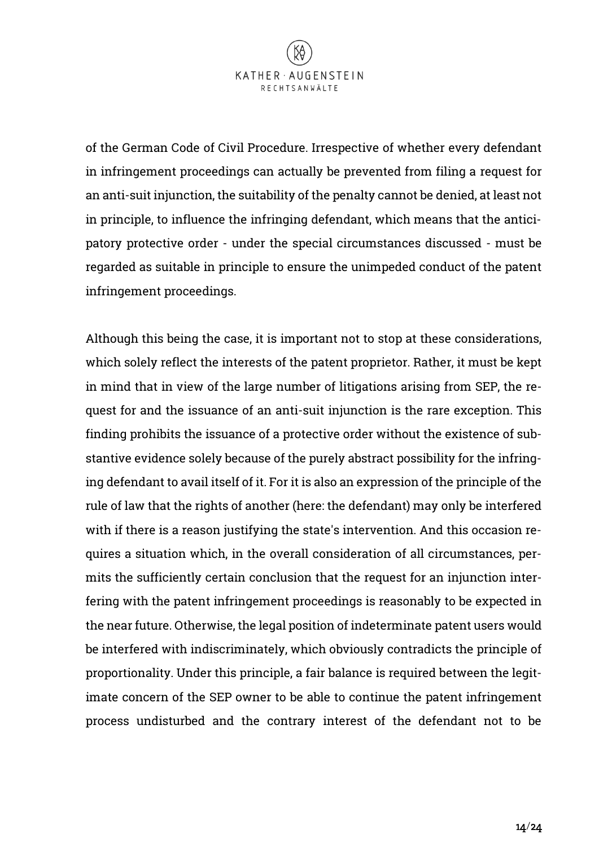

of the German Code of Civil Procedure. Irrespective of whether every defendant in infringement proceedings can actually be prevented from filing a request for an anti-suit injunction, the suitability of the penalty cannot be denied, at least not in principle, to influence the infringing defendant, which means that the anticipatory protective order - under the special circumstances discussed - must be regarded as suitable in principle to ensure the unimpeded conduct of the patent infringement proceedings.

Although this being the case, it is important not to stop at these considerations, which solely reflect the interests of the patent proprietor. Rather, it must be kept in mind that in view of the large number of litigations arising from SEP, the request for and the issuance of an anti-suit injunction is the rare exception. This finding prohibits the issuance of a protective order without the existence of substantive evidence solely because of the purely abstract possibility for the infringing defendant to avail itself of it. For it is also an expression of the principle of the rule of law that the rights of another (here: the defendant) may only be interfered with if there is a reason justifying the state's intervention. And this occasion requires a situation which, in the overall consideration of all circumstances, permits the sufficiently certain conclusion that the request for an injunction interfering with the patent infringement proceedings is reasonably to be expected in the near future. Otherwise, the legal position of indeterminate patent users would be interfered with indiscriminately, which obviously contradicts the principle of proportionality. Under this principle, a fair balance is required between the legitimate concern of the SEP owner to be able to continue the patent infringement process undisturbed and the contrary interest of the defendant not to be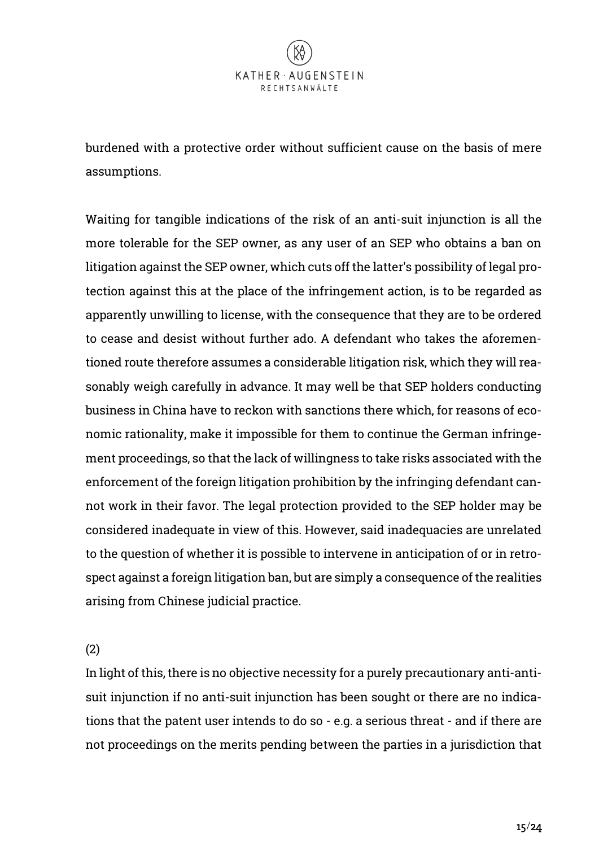burdened with a protective order without sufficient cause on the basis of mere assumptions.

Waiting for tangible indications of the risk of an anti-suit injunction is all the more tolerable for the SEP owner, as any user of an SEP who obtains a ban on litigation against the SEP owner, which cuts off the latter's possibility of legal protection against this at the place of the infringement action, is to be regarded as apparently unwilling to license, with the consequence that they are to be ordered to cease and desist without further ado. A defendant who takes the aforementioned route therefore assumes a considerable litigation risk, which they will reasonably weigh carefully in advance. It may well be that SEP holders conducting business in China have to reckon with sanctions there which, for reasons of economic rationality, make it impossible for them to continue the German infringement proceedings, so that the lack of willingness to take risks associated with the enforcement of the foreign litigation prohibition by the infringing defendant cannot work in their favor. The legal protection provided to the SEP holder may be considered inadequate in view of this. However, said inadequacies are unrelated to the question of whether it is possible to intervene in anticipation of or in retrospect against a foreign litigation ban, but are simply a consequence of the realities arising from Chinese judicial practice.

(2)

In light of this, there is no objective necessity for a purely precautionary anti-antisuit injunction if no anti-suit injunction has been sought or there are no indications that the patent user intends to do so - e.g. a serious threat - and if there are not proceedings on the merits pending between the parties in a jurisdiction that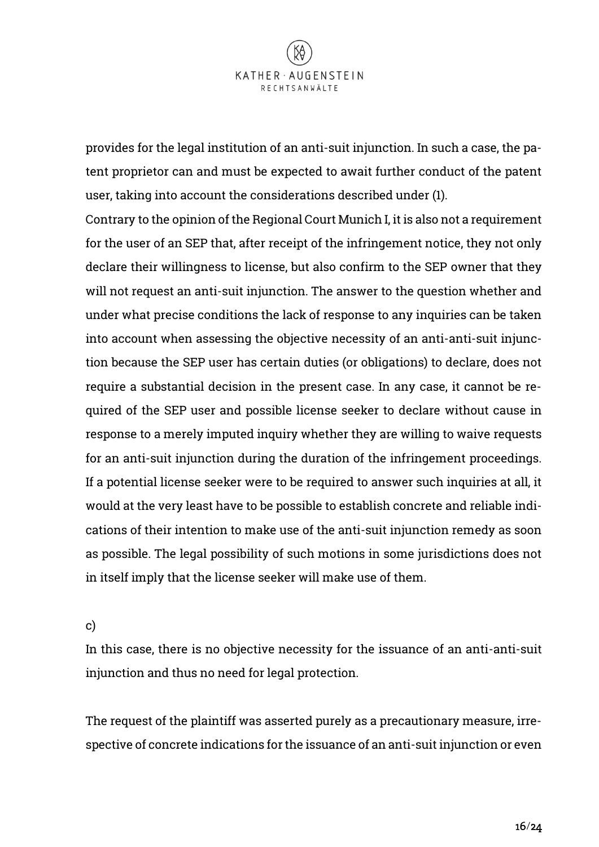

provides for the legal institution of an anti-suit injunction. In such a case, the patent proprietor can and must be expected to await further conduct of the patent user, taking into account the considerations described under (1).

Contrary to the opinion of the Regional Court Munich I, it is also not a requirement for the user of an SEP that, after receipt of the infringement notice, they not only declare their willingness to license, but also confirm to the SEP owner that they will not request an anti-suit injunction. The answer to the question whether and under what precise conditions the lack of response to any inquiries can be taken into account when assessing the objective necessity of an anti-anti-suit injunction because the SEP user has certain duties (or obligations) to declare, does not require a substantial decision in the present case. In any case, it cannot be required of the SEP user and possible license seeker to declare without cause in response to a merely imputed inquiry whether they are willing to waive requests for an anti-suit injunction during the duration of the infringement proceedings. If a potential license seeker were to be required to answer such inquiries at all, it would at the very least have to be possible to establish concrete and reliable indications of their intention to make use of the anti-suit injunction remedy as soon as possible. The legal possibility of such motions in some jurisdictions does not in itself imply that the license seeker will make use of them.

#### c)

In this case, there is no objective necessity for the issuance of an anti-anti-suit injunction and thus no need for legal protection.

The request of the plaintiff was asserted purely as a precautionary measure, irrespective of concrete indications for the issuance of an anti-suit injunction or even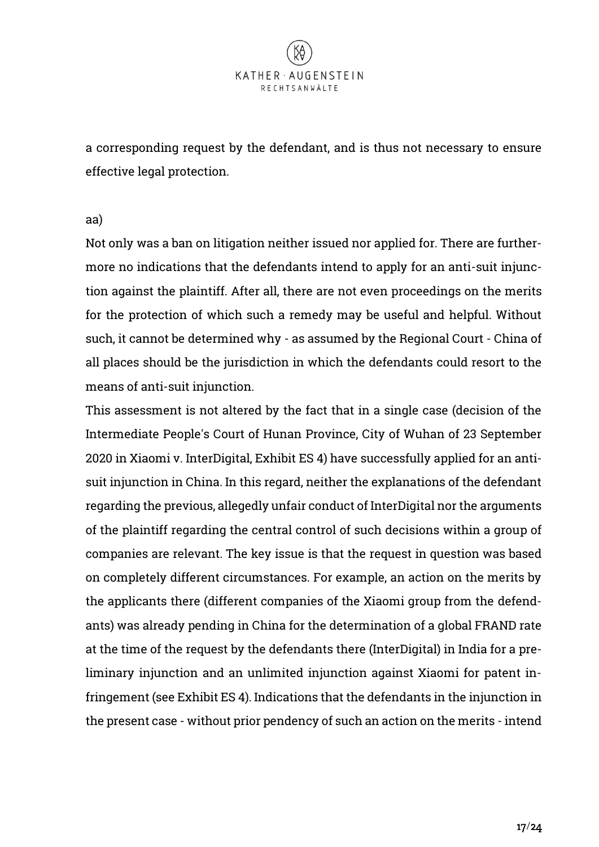a corresponding request by the defendant, and is thus not necessary to ensure effective legal protection.

aa)

Not only was a ban on litigation neither issued nor applied for. There are furthermore no indications that the defendants intend to apply for an anti-suit injunction against the plaintiff. After all, there are not even proceedings on the merits for the protection of which such a remedy may be useful and helpful. Without such, it cannot be determined why - as assumed by the Regional Court - China of all places should be the jurisdiction in which the defendants could resort to the means of anti-suit injunction.

This assessment is not altered by the fact that in a single case (decision of the Intermediate People's Court of Hunan Province, City of Wuhan of 23 September 2020 in Xiaomi v. InterDigital, Exhibit ES 4) have successfully applied for an antisuit injunction in China. In this regard, neither the explanations of the defendant regarding the previous, allegedly unfair conduct of InterDigital nor the arguments of the plaintiff regarding the central control of such decisions within a group of companies are relevant. The key issue is that the request in question was based on completely different circumstances. For example, an action on the merits by the applicants there (different companies of the Xiaomi group from the defendants) was already pending in China for the determination of a global FRAND rate at the time of the request by the defendants there (InterDigital) in India for a preliminary injunction and an unlimited injunction against Xiaomi for patent infringement (see Exhibit ES 4). Indications that the defendants in the injunction in the present case - without prior pendency of such an action on the merits - intend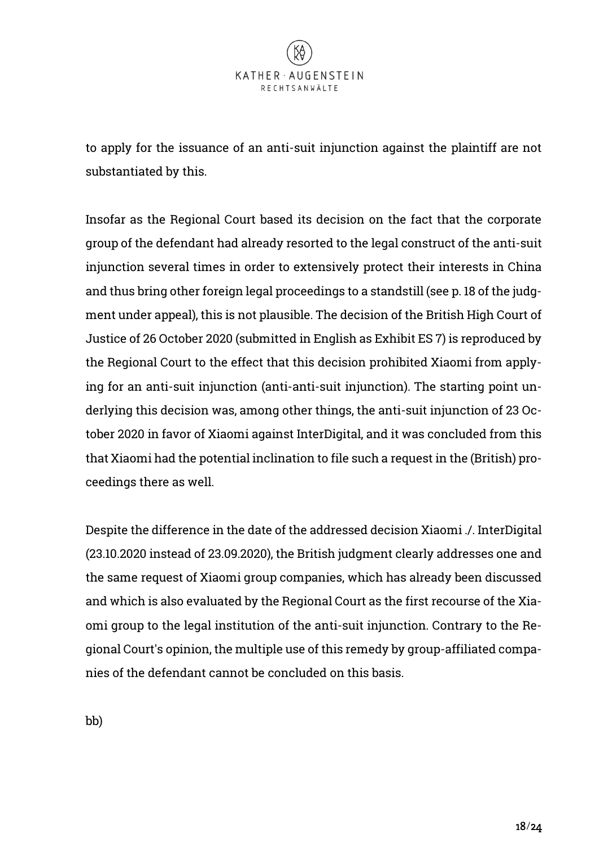to apply for the issuance of an anti-suit injunction against the plaintiff are not substantiated by this.

Insofar as the Regional Court based its decision on the fact that the corporate group of the defendant had already resorted to the legal construct of the anti-suit injunction several times in order to extensively protect their interests in China and thus bring other foreign legal proceedings to a standstill (see p. 18 of the judgment under appeal), this is not plausible. The decision of the British High Court of Justice of 26 October 2020 (submitted in English as Exhibit ES 7) is reproduced by the Regional Court to the effect that this decision prohibited Xiaomi from applying for an anti-suit injunction (anti-anti-suit injunction). The starting point underlying this decision was, among other things, the anti-suit injunction of 23 October 2020 in favor of Xiaomi against InterDigital, and it was concluded from this that Xiaomi had the potential inclination to file such a request in the (British) proceedings there as well.

Despite the difference in the date of the addressed decision Xiaomi ./. InterDigital (23.10.2020 instead of 23.09.2020), the British judgment clearly addresses one and the same request of Xiaomi group companies, which has already been discussed and which is also evaluated by the Regional Court as the first recourse of the Xiaomi group to the legal institution of the anti-suit injunction. Contrary to the Regional Court's opinion, the multiple use of this remedy by group-affiliated companies of the defendant cannot be concluded on this basis.

bb)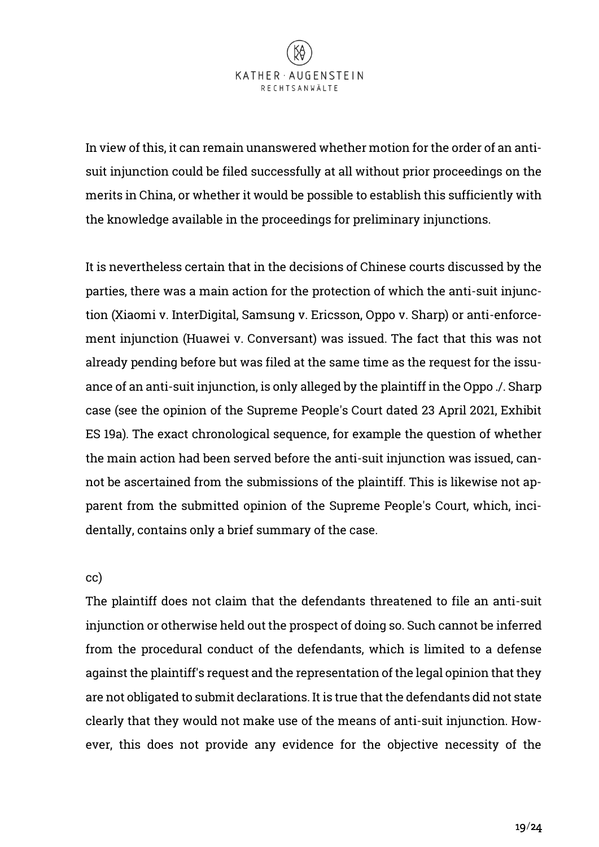

In view of this, it can remain unanswered whether motion for the order of an antisuit injunction could be filed successfully at all without prior proceedings on the merits in China, or whether it would be possible to establish this sufficiently with the knowledge available in the proceedings for preliminary injunctions.

It is nevertheless certain that in the decisions of Chinese courts discussed by the parties, there was a main action for the protection of which the anti-suit injunction (Xiaomi v. InterDigital, Samsung v. Ericsson, Oppo v. Sharp) or anti-enforcement injunction (Huawei v. Conversant) was issued. The fact that this was not already pending before but was filed at the same time as the request for the issuance of an anti-suit injunction, is only alleged by the plaintiff in the Oppo ./. Sharp case (see the opinion of the Supreme People's Court dated 23 April 2021, Exhibit ES 19a). The exact chronological sequence, for example the question of whether the main action had been served before the anti-suit injunction was issued, cannot be ascertained from the submissions of the plaintiff. This is likewise not apparent from the submitted opinion of the Supreme People's Court, which, incidentally, contains only a brief summary of the case.

#### cc)

The plaintiff does not claim that the defendants threatened to file an anti-suit injunction or otherwise held out the prospect of doing so. Such cannot be inferred from the procedural conduct of the defendants, which is limited to a defense against the plaintiff's request and the representation of the legal opinion that they are not obligated to submit declarations. It is true that the defendants did not state clearly that they would not make use of the means of anti-suit injunction. However, this does not provide any evidence for the objective necessity of the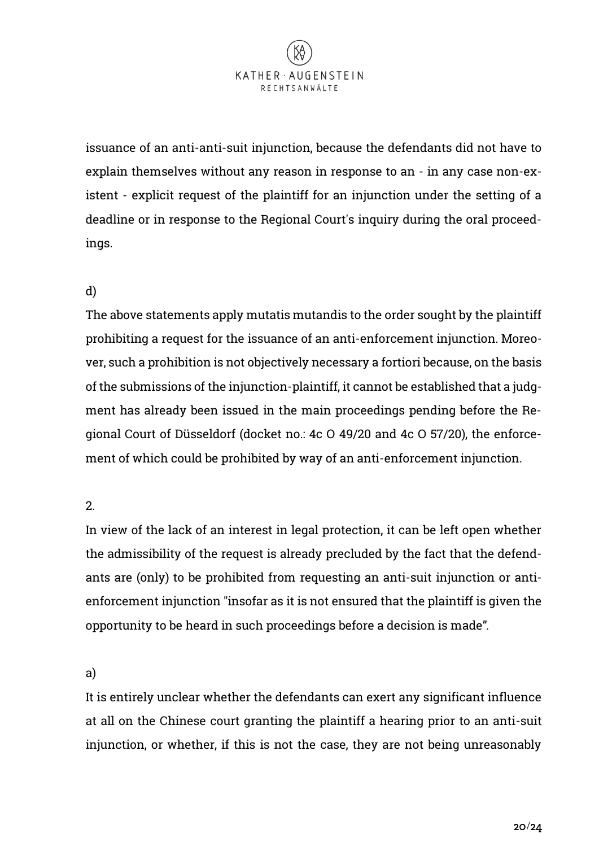

issuance of an anti-anti-suit injunction, because the defendants did not have to explain themselves without any reason in response to an - in any case non-existent - explicit request of the plaintiff for an injunction under the setting of a deadline or in response to the Regional Court's inquiry during the oral proceedings.

# d)

The above statements apply mutatis mutandis to the order sought by the plaintiff prohibiting a request for the issuance of an anti-enforcement injunction. Moreover, such a prohibition is not objectively necessary a fortiori because, on the basis of the submissions of the injunction-plaintiff, it cannot be established that a judgment has already been issued in the main proceedings pending before the Regional Court of Düsseldorf (docket no.: 4c O 49/20 and 4c O 57/20), the enforcement of which could be prohibited by way of an anti-enforcement injunction.

#### 2.

In view of the lack of an interest in legal protection, it can be left open whether the admissibility of the request is already precluded by the fact that the defendants are (only) to be prohibited from requesting an anti-suit injunction or antienforcement injunction "insofar as it is not ensured that the plaintiff is given the opportunity to be heard in such proceedings before a decision is made".

# a)

It is entirely unclear whether the defendants can exert any significant influence at all on the Chinese court granting the plaintiff a hearing prior to an anti-suit injunction, or whether, if this is not the case, they are not being unreasonably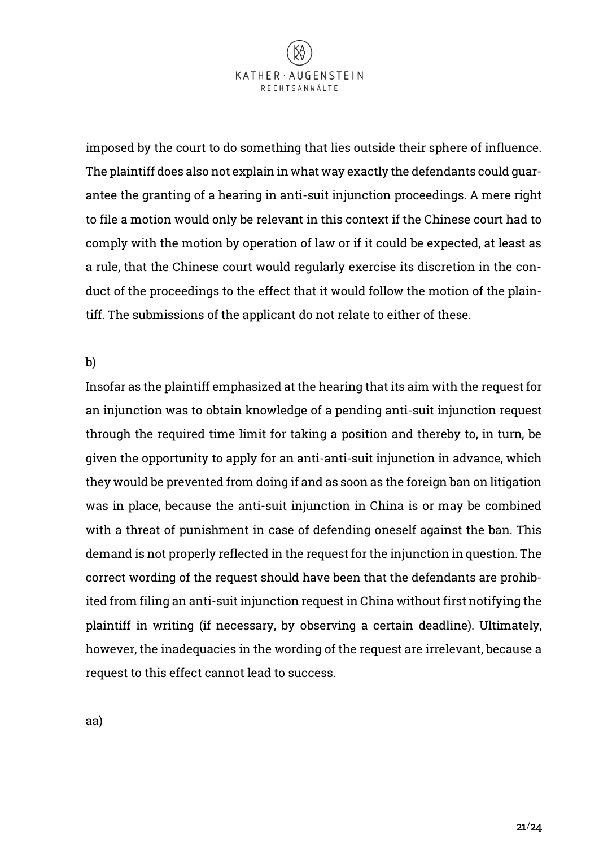

imposed by the court to do something that lies outside their sphere of influence. The plaintiff does also not explain in what way exactly the defendants could guarantee the granting of a hearing in anti-suit injunction proceedings. A mere right to file a motion would only be relevant in this context if the Chinese court had to comply with the motion by operation of law or if it could be expected, at least as a rule, that the Chinese court would regularly exercise its discretion in the conduct of the proceedings to the effect that it would follow the motion of the plaintiff. The submissions of the applicant do not relate to either of these.

b)

Insofar as the plaintiff emphasized at the hearing that its aim with the request for an injunction was to obtain knowledge of a pending anti-suit injunction request through the required time limit for taking a position and thereby to, in turn, be given the opportunity to apply for an anti-anti-suit injunction in advance, which they would be prevented from doing if and as soon as the foreign ban on litigation was in place, because the anti-suit injunction in China is or may be combined with a threat of punishment in case of defending oneself against the ban. This demand is not properly reflected in the request for the injunction in question. The correct wording of the request should have been that the defendants are prohibited from filing an anti-suit injunction request in China without first notifying the plaintiff in writing (if necessary, by observing a certain deadline). Ultimately, however, the inadequacies in the wording of the request are irrelevant, because a request to this effect cannot lead to success.

aa)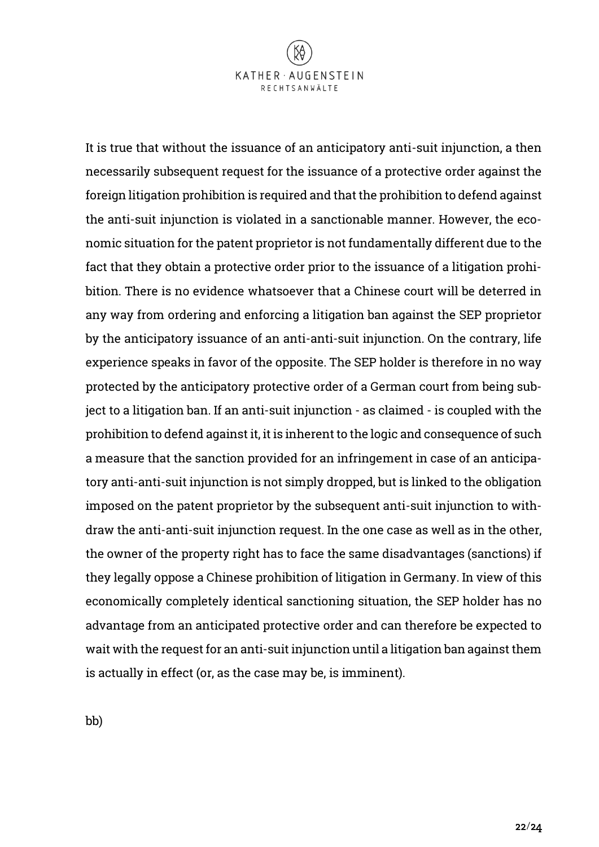It is true that without the issuance of an anticipatory anti-suit injunction, a then necessarily subsequent request for the issuance of a protective order against the foreign litigation prohibition is required and that the prohibition to defend against the anti-suit injunction is violated in a sanctionable manner. However, the economic situation for the patent proprietor is not fundamentally different due to the fact that they obtain a protective order prior to the issuance of a litigation prohibition. There is no evidence whatsoever that a Chinese court will be deterred in any way from ordering and enforcing a litigation ban against the SEP proprietor by the anticipatory issuance of an anti-anti-suit injunction. On the contrary, life experience speaks in favor of the opposite. The SEP holder is therefore in no way protected by the anticipatory protective order of a German court from being subject to a litigation ban. If an anti-suit injunction - as claimed - is coupled with the prohibition to defend against it, it is inherent to the logic and consequence of such a measure that the sanction provided for an infringement in case of an anticipatory anti-anti-suit injunction is not simply dropped, but is linked to the obligation imposed on the patent proprietor by the subsequent anti-suit injunction to withdraw the anti-anti-suit injunction request. In the one case as well as in the other, the owner of the property right has to face the same disadvantages (sanctions) if they legally oppose a Chinese prohibition of litigation in Germany. In view of this economically completely identical sanctioning situation, the SEP holder has no advantage from an anticipated protective order and can therefore be expected to wait with the request for an anti-suit injunction until a litigation ban against them is actually in effect (or, as the case may be, is imminent).

bb)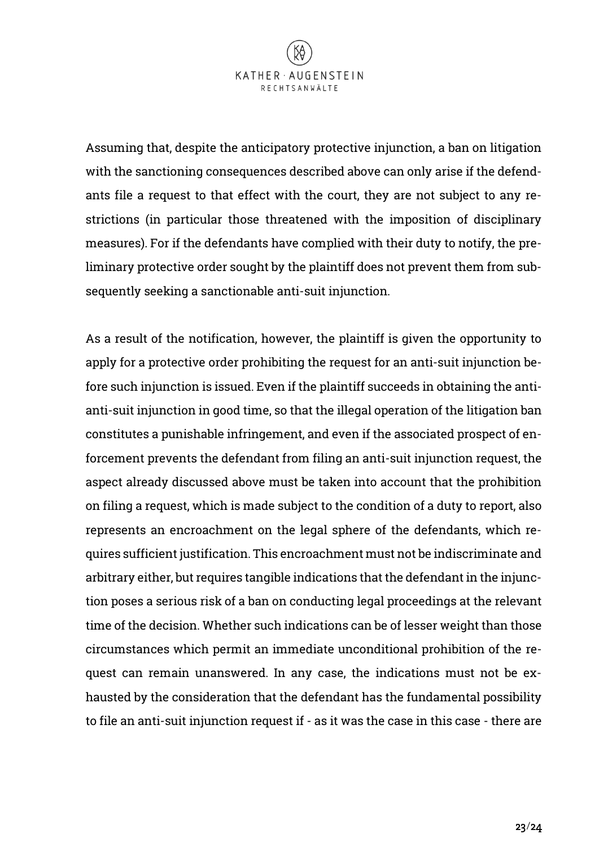

Assuming that, despite the anticipatory protective injunction, a ban on litigation with the sanctioning consequences described above can only arise if the defendants file a request to that effect with the court, they are not subject to any restrictions (in particular those threatened with the imposition of disciplinary measures). For if the defendants have complied with their duty to notify, the preliminary protective order sought by the plaintiff does not prevent them from subsequently seeking a sanctionable anti-suit injunction.

As a result of the notification, however, the plaintiff is given the opportunity to apply for a protective order prohibiting the request for an anti-suit injunction before such injunction is issued. Even if the plaintiff succeeds in obtaining the antianti-suit injunction in good time, so that the illegal operation of the litigation ban constitutes a punishable infringement, and even if the associated prospect of enforcement prevents the defendant from filing an anti-suit injunction request, the aspect already discussed above must be taken into account that the prohibition on filing a request, which is made subject to the condition of a duty to report, also represents an encroachment on the legal sphere of the defendants, which requires sufficient justification. This encroachment must not be indiscriminate and arbitrary either, but requires tangible indications that the defendant in the injunction poses a serious risk of a ban on conducting legal proceedings at the relevant time of the decision. Whether such indications can be of lesser weight than those circumstances which permit an immediate unconditional prohibition of the request can remain unanswered. In any case, the indications must not be exhausted by the consideration that the defendant has the fundamental possibility to file an anti-suit injunction request if - as it was the case in this case - there are